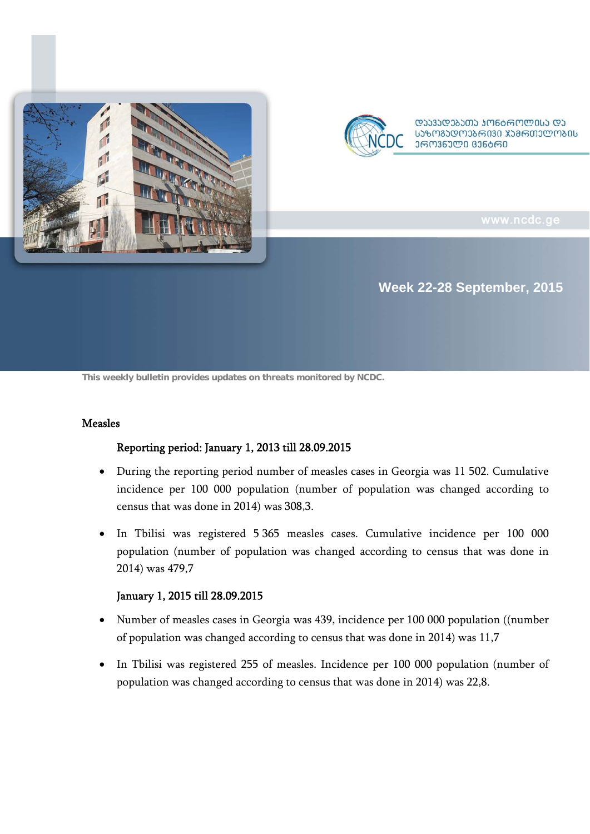



ᲡᲐᲖᲝᲒᲐᲓᲝᲔᲑᲠᲘᲕᲘ ᲯᲐᲛᲠᲗᲔᲚᲝᲑᲘᲡ **ᲔᲠᲝᲕᲜᲣᲚᲘ ᲪᲔᲜᲑᲠᲘ** 

## **Week 22-28 September, 2015**

**This weekly bulletin provides updates on threats monitored by NCDC.**

#### Measles

#### Reporting period: January 1, 2013 till 28.09.2015

- During the reporting period number of measles cases in Georgia was 11 502. Cumulative incidence per 100 000 population (number of population was changed according to census that was done in 2014) was 308,3.
- In Tbilisi was registered 5 365 measles cases. Cumulative incidence per 100 000 population (number of population was changed according to census that was done in 2014) was 479,7

#### January 1, 2015 till 28.09.2015

- Number of measles cases in Georgia was 439, incidence per 100 000 population ((number of population was changed according to census that was done in 2014) was 11,7
- In Tbilisi was registered 255 of measles. Incidence per 100 000 population (number of population was changed according to census that was done in 2014) was 22,8.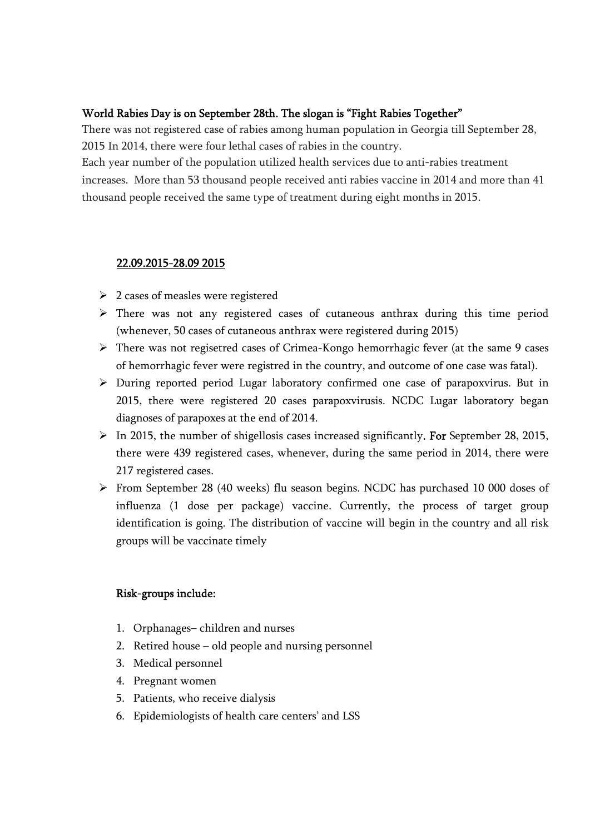## World Rabies Day is on September 28th. The slogan is "Fight Rabies Together"

There was not registered case of rabies among human population in Georgia till September 28, 2015 In 2014, there were four lethal cases of rabies in the country.

Each year number of the population utilized health services due to anti-rabies treatment increases. More than 53 thousand people received anti rabies vaccine in 2014 and more than 41 thousand people received the same type of treatment during eight months in 2015.

### 22.09.2015-28.09 2015

- $\geq 2$  cases of measles were registered
- $\triangleright$  There was not any registered cases of cutaneous anthrax during this time period (whenever, 50 cases of cutaneous anthrax were registered during 2015)
- There was not regisetred cases of Crimea-Kongo hemorrhagic fever (at the same 9 cases of hemorrhagic fever were registred in the country, and outcome of one case was fatal).
- During reported period Lugar laboratory confirmed one case of parapoxvirus. But in 2015, there were registered 20 cases parapoxvirusis. NCDC Lugar laboratory began diagnoses of parapoxes at the end of 2014.
- $\triangleright$  In 2015, the number of shigellosis cases increased significantly. For September 28, 2015, there were 439 registered cases, whenever, during the same period in 2014, there were 217 registered cases.
- From September 28 (40 weeks) flu season begins. NCDC has purchased 10 000 doses of influenza (1 dose per package) vaccine. Currently, the process of target group identification is going. The distribution of vaccine will begin in the country and all risk groups will be vaccinate timely

## Risk-groups include:

- 1. Orphanages– children and nurses
- 2. Retired house old people and nursing personnel
- 3. Medical personnel
- 4. Pregnant women
- 5. Patients, who receive dialysis
- 6. Epidemiologists of health care centers' and LSS